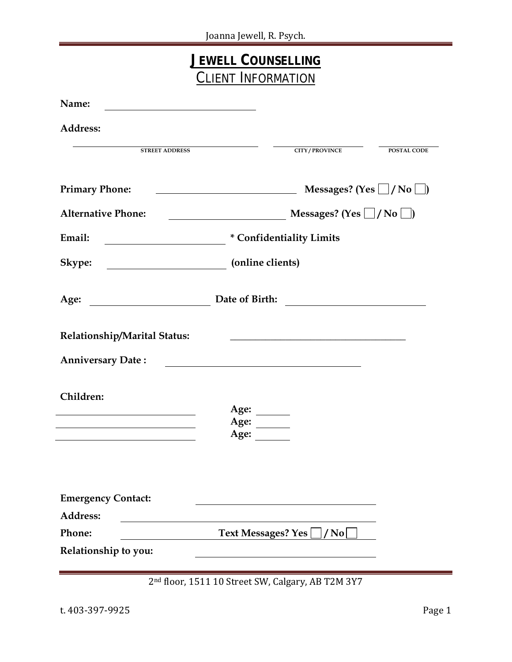| <b>JEWELL COUNSELLING</b><br><b>CLIENT INFORMATION</b> |                                                                                                                     |  |
|--------------------------------------------------------|---------------------------------------------------------------------------------------------------------------------|--|
| Name:                                                  |                                                                                                                     |  |
| <b>Address:</b>                                        |                                                                                                                     |  |
| <b>STREET ADDRESS</b>                                  | <b>CITY/PROVINCE</b><br><b>POSTAL CODE</b>                                                                          |  |
| <b>Primary Phone:</b>                                  | Messages? (Yes $\Box /$ No $\Box$ )                                                                                 |  |
| <b>Alternative Phone:</b>                              | Messages? (Yes $\Box /$ No $\Box$ )                                                                                 |  |
| Email:                                                 | * Confidentiality Limits                                                                                            |  |
| Skype:                                                 | (online clients)                                                                                                    |  |
| <u> 1990 - Johann Barbara, martin a</u><br>Age:        |                                                                                                                     |  |
| Relationship/Marital Status:                           | <u> 1989 - Johann Barbara, markazi bashkar a shekara ta 1989 - André a shekara ta 1989 - André a shekara ta 198</u> |  |
| <b>Anniversary Date:</b>                               |                                                                                                                     |  |
| Children:                                              | Age:<br>Age:<br>Age:                                                                                                |  |
| <b>Emergency Contact:</b>                              |                                                                                                                     |  |
| Address:<br>Phone:                                     | <b>Text Messages? Yes</b><br>/ No $\mid$                                                                            |  |
| Relationship to you:                                   |                                                                                                                     |  |

2nd floor, 1511 10 Street SW, Calgary, AB T2M 3Y7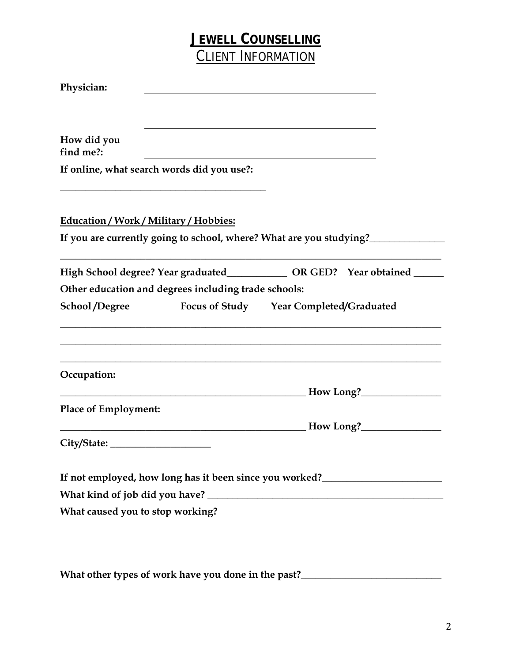## **JEWELL COUNSELLING** CLIENT INFORMATION

| How did you<br>find me?:                                                                                              |                                         |  |
|-----------------------------------------------------------------------------------------------------------------------|-----------------------------------------|--|
| If online, what search words did you use?:                                                                            |                                         |  |
| Education / Work / Military / Hobbies:                                                                                |                                         |  |
| If you are currently going to school, where? What are you studying?_____________                                      |                                         |  |
| High School degree? Year graduated______________ OR GED? Year obtained ____                                           |                                         |  |
| Other education and degrees including trade schools:                                                                  |                                         |  |
| <b>School/Degree</b>                                                                                                  | Focus of Study Year Completed/Graduated |  |
| Occupation:                                                                                                           |                                         |  |
| the control of the control of the control of the control of the control of the control of                             | How Long?                               |  |
| <b>Place of Employment:</b>                                                                                           |                                         |  |
| <u> 1944 - Johann John Harry Barbara, martin a shekara 1950 - 1951 - 1952 - 1953 - 1954 - 1955 - 1956 - 1957 - 19</u> | How Long? <b>__________________</b>     |  |
| City/State:                                                                                                           |                                         |  |
|                                                                                                                       |                                         |  |
| If not employed, how long has it been since you worked?<br><u>Letting</u>                                             |                                         |  |
|                                                                                                                       |                                         |  |
|                                                                                                                       |                                         |  |

What other types of work have you done in the past?\_\_\_\_\_\_\_\_\_\_\_\_\_\_\_\_\_\_\_\_\_\_\_\_\_\_\_\_\_\_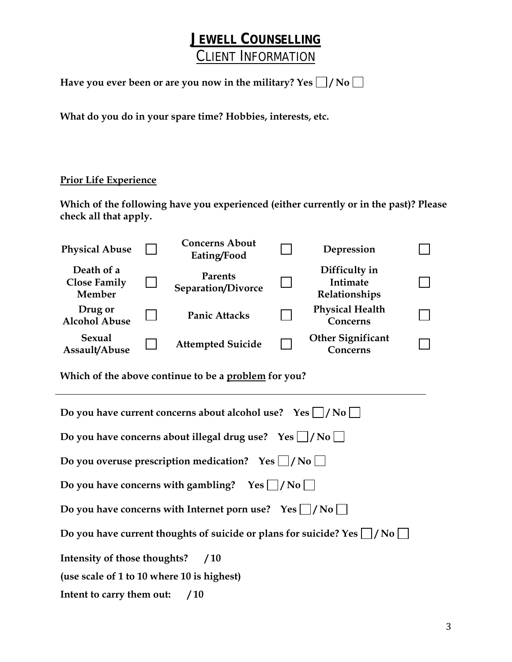# **JEWELL COUNSELLING** CLIENT INFORMATION

Have you ever been or are you now in the military? Yes  $\Box$  / No  $\Box$ 

**What do you do in your spare time? Hobbies, interests, etc.** 

### **Prior Life Experience**

L

**Which of the following have you experienced (either currently or in the past)? Please check all that apply.** 

| <b>Physical Abuse</b>                                                               |        | <b>Concerns About</b><br>Eating/Food |  | Depression                                        |  |
|-------------------------------------------------------------------------------------|--------|--------------------------------------|--|---------------------------------------------------|--|
| Death of a<br><b>Close Family</b><br>Member                                         | $\Box$ | <b>Parents</b><br>Separation/Divorce |  | Difficulty in<br><b>Intimate</b><br>Relationships |  |
| Drug or<br><b>Alcohol Abuse</b>                                                     |        | <b>Panic Attacks</b>                 |  | <b>Physical Health</b><br>Concerns                |  |
| <b>Sexual</b><br>Assault/Abuse                                                      |        | <b>Attempted Suicide</b>             |  | <b>Other Significant</b><br>Concerns              |  |
| Which of the above continue to be a problem for you?                                |        |                                      |  |                                                   |  |
| Do you have current concerns about alcohol use? Yes $\Box/N$ o                      |        |                                      |  |                                                   |  |
| Do you have concerns about illegal drug use? $Yes \mid /No \mid$                    |        |                                      |  |                                                   |  |
| Do you overuse prescription medication? $Yes \mid /No \mid$                         |        |                                      |  |                                                   |  |
| Do you have concerns with gambling? Yes $\Box$ /No $\Box$                           |        |                                      |  |                                                   |  |
| Do you have concerns with Internet porn use? $Yes \cup /No \cup$                    |        |                                      |  |                                                   |  |
| Do you have current thoughts of suicide or plans for suicide? Yes $\mid$ /No $\mid$ |        |                                      |  |                                                   |  |
| Intensity of those thoughts?<br>/10                                                 |        |                                      |  |                                                   |  |
| (use scale of 1 to 10 where 10 is highest)                                          |        |                                      |  |                                                   |  |
| Intent to carry them out:<br>/10                                                    |        |                                      |  |                                                   |  |